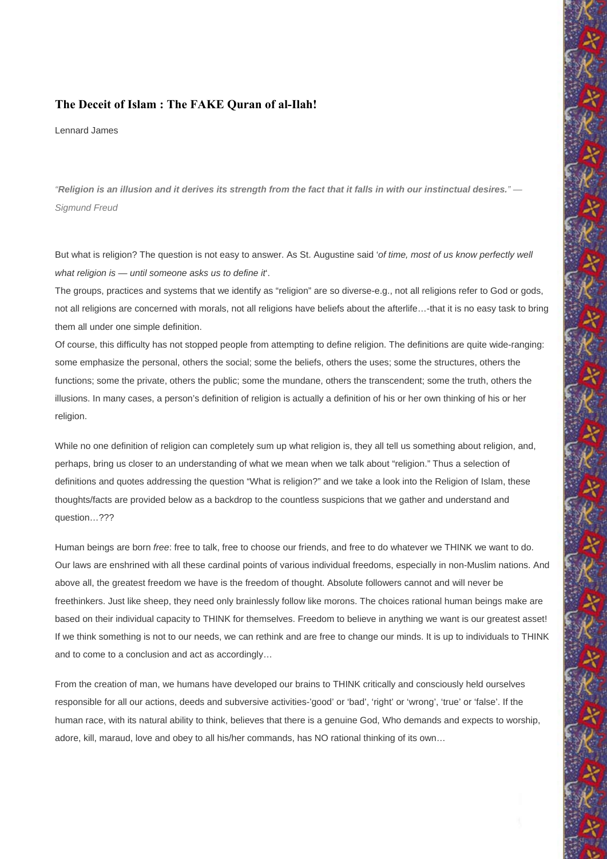# **The Deceit of Islam : The FAKE Quran of al-Ilah!**

Lennard James

*"Religion is an illusion and it derives its strength from the fact that it falls in with our instinctual desires." — Sigmund Freud* 

But what is religion? The question is not easy to answer. As St. Augustine said '*of time, most of us know perfectly well what religion is — until someone asks us to define it*'.

The groups, practices and systems that we identify as "religion" are so diverse-e.g., not all religions refer to God or gods, not all religions are concerned with morals, not all religions have beliefs about the afterlife…-that it is no easy task to bring them all under one simple definition.

Of course, this difficulty has not stopped people from attempting to define religion. The definitions are quite wide-ranging: some emphasize the personal, others the social; some the beliefs, others the uses; some the structures, others the functions; some the private, others the public; some the mundane, others the transcendent; some the truth, others the illusions. In many cases, a person's definition of religion is actually a definition of his or her own thinking of his or her religion.

While no one definition of religion can completely sum up what religion is, they all tell us something about religion, and, perhaps, bring us closer to an understanding of what we mean when we talk about "religion." Thus a selection of definitions and quotes addressing the question "What is religion?" and we take a look into the Religion of Islam, these thoughts/facts are provided below as a backdrop to the countless suspicions that we gather and understand and question…???

Human beings are born *free*: free to talk, free to choose our friends, and free to do whatever we THINK we want to do. Our laws are enshrined with all these cardinal points of various individual freedoms, especially in non-Muslim nations. And above all, the greatest freedom we have is the freedom of thought. Absolute followers cannot and will never be freethinkers. Just like sheep, they need only brainlessly follow like morons. The choices rational human beings make are based on their individual capacity to THINK for themselves. Freedom to believe in anything we want is our greatest asset! If we think something is not to our needs, we can rethink and are free to change our minds. It is up to individuals to THINK and to come to a conclusion and act as accordingly…

From the creation of man, we humans have developed our brains to THINK critically and consciously held ourselves responsible for all our actions, deeds and subversive activities-'good' or 'bad', 'right' or 'wrong', 'true' or 'false'. If the human race, with its natural ability to think, believes that there is a genuine God, Who demands and expects to worship, adore, kill, maraud, love and obey to all his/her commands, has NO rational thinking of its own…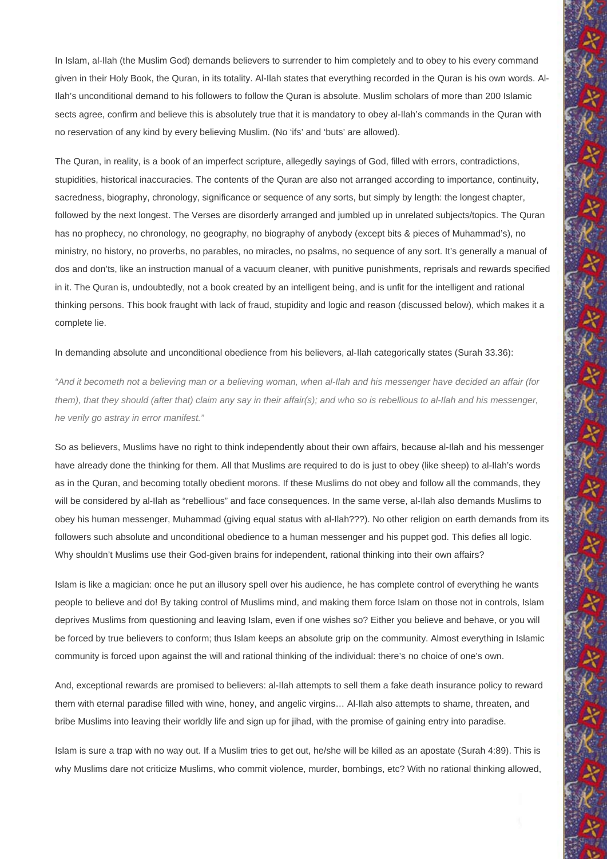In Islam, al-Ilah (the Muslim God) demands believers to surrender to him completely and to obey to his every command given in their Holy Book, the Quran, in its totality. Al-Ilah states that everything recorded in the Quran is his own words. Al-Ilah's unconditional demand to his followers to follow the Quran is absolute. Muslim scholars of more than 200 Islamic sects agree, confirm and believe this is absolutely true that it is mandatory to obey al-Ilah's commands in the Quran with no reservation of any kind by every believing Muslim. (No 'ifs' and 'buts' are allowed).

The Quran, in reality, is a book of an imperfect scripture, allegedly sayings of God, filled with errors, contradictions, stupidities, historical inaccuracies. The contents of the Quran are also not arranged according to importance, continuity, sacredness, biography, chronology, significance or sequence of any sorts, but simply by length: the longest chapter, followed by the next longest. The Verses are disorderly arranged and jumbled up in unrelated subjects/topics. The Quran has no prophecy, no chronology, no geography, no biography of anybody (except bits & pieces of Muhammad's), no ministry, no history, no proverbs, no parables, no miracles, no psalms, no sequence of any sort. It's generally a manual of dos and don'ts, like an instruction manual of a vacuum cleaner, with punitive punishments, reprisals and rewards specified in it. The Quran is, undoubtedly, not a book created by an intelligent being, and is unfit for the intelligent and rational thinking persons. This book fraught with lack of fraud, stupidity and logic and reason (discussed below), which makes it a complete lie.

## In demanding absolute and unconditional obedience from his believers, al-Ilah categorically states (Surah 33.36):

*"And it becometh not a believing man or a believing woman, when al-Ilah and his messenger have decided an affair (for them), that they should (after that) claim any say in their affair(s); and who so is rebellious to al-Ilah and his messenger, he verily go astray in error manifest."* 

So as believers, Muslims have no right to think independently about their own affairs, because al-Ilah and his messenger have already done the thinking for them. All that Muslims are required to do is just to obey (like sheep) to al-Ilah's words as in the Quran, and becoming totally obedient morons. If these Muslims do not obey and follow all the commands, they will be considered by al-Ilah as "rebellious" and face consequences. In the same verse, al-Ilah also demands Muslims to obey his human messenger, Muhammad (giving equal status with al-Ilah???). No other religion on earth demands from its followers such absolute and unconditional obedience to a human messenger and his puppet god. This defies all logic. Why shouldn't Muslims use their God-given brains for independent, rational thinking into their own affairs?

Islam is like a magician: once he put an illusory spell over his audience, he has complete control of everything he wants people to believe and do! By taking control of Muslims mind, and making them force Islam on those not in controls, Islam deprives Muslims from questioning and leaving Islam, even if one wishes so? Either you believe and behave, or you will be forced by true believers to conform; thus Islam keeps an absolute grip on the community. Almost everything in Islamic community is forced upon against the will and rational thinking of the individual: there's no choice of one's own.

And, exceptional rewards are promised to believers: al-Ilah attempts to sell them a fake death insurance policy to reward them with eternal paradise filled with wine, honey, and angelic virgins… Al-Ilah also attempts to shame, threaten, and bribe Muslims into leaving their worldly life and sign up for jihad, with the promise of gaining entry into paradise.

Islam is sure a trap with no way out. If a Muslim tries to get out, he/she will be killed as an apostate (Surah 4:89). This is why Muslims dare not criticize Muslims, who commit violence, murder, bombings, etc? With no rational thinking allowed,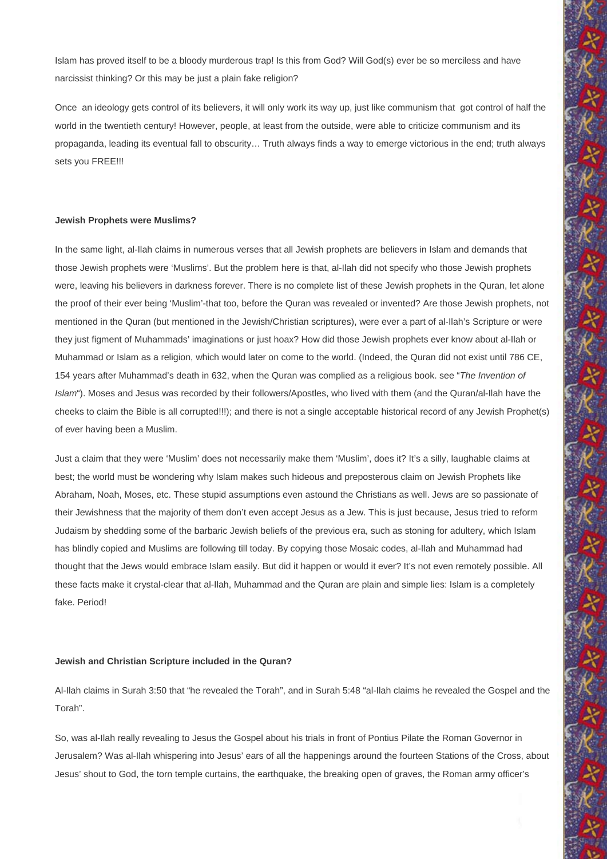Islam has proved itself to be a bloody murderous trap! Is this from God? Will God(s) ever be so merciless and have narcissist thinking? Or this may be just a plain fake religion?

Once an ideology gets control of its believers, it will only work its way up, just like communism that got control of half the world in the twentieth century! However, people, at least from the outside, were able to criticize communism and its propaganda, leading its eventual fall to obscurity… Truth always finds a way to emerge victorious in the end; truth always sets you FREE!!!

#### **Jewish Prophets were Muslims?**

In the same light, al-Ilah claims in numerous verses that all Jewish prophets are believers in Islam and demands that those Jewish prophets were 'Muslims'. But the problem here is that, al-Ilah did not specify who those Jewish prophets were, leaving his believers in darkness forever. There is no complete list of these Jewish prophets in the Quran, let alone the proof of their ever being 'Muslim'-that too, before the Quran was revealed or invented? Are those Jewish prophets, not mentioned in the Quran (but mentioned in the Jewish/Christian scriptures), were ever a part of al-Ilah's Scripture or were they just figment of Muhammads' imaginations or just hoax? How did those Jewish prophets ever know about al-Ilah or Muhammad or Islam as a religion, which would later on come to the world. (Indeed, the Quran did not exist until 786 CE, 154 years after Muhammad's death in 632, when the Quran was complied as a religious book. see "*The Invention of Islam*"). Moses and Jesus was recorded by their followers/Apostles, who lived with them (and the Quran/al-Ilah have the cheeks to claim the Bible is all corrupted!!!); and there is not a single acceptable historical record of any Jewish Prophet(s) of ever having been a Muslim.

Just a claim that they were 'Muslim' does not necessarily make them 'Muslim', does it? It's a silly, laughable claims at best; the world must be wondering why Islam makes such hideous and preposterous claim on Jewish Prophets like Abraham, Noah, Moses, etc. These stupid assumptions even astound the Christians as well. Jews are so passionate of their Jewishness that the majority of them don't even accept Jesus as a Jew. This is just because, Jesus tried to reform Judaism by shedding some of the barbaric Jewish beliefs of the previous era, such as stoning for adultery, which Islam has blindly copied and Muslims are following till today. By copying those Mosaic codes, al-Ilah and Muhammad had thought that the Jews would embrace Islam easily. But did it happen or would it ever? It's not even remotely possible. All these facts make it crystal-clear that al-Ilah, Muhammad and the Quran are plain and simple lies: Islam is a completely fake. Period!

#### **Jewish and Christian Scripture included in the Quran?**

Al-Ilah claims in Surah 3:50 that "he revealed the Torah", and in Surah 5:48 "al-Ilah claims he revealed the Gospel and the Torah".

So, was al-Ilah really revealing to Jesus the Gospel about his trials in front of Pontius Pilate the Roman Governor in Jerusalem? Was al-Ilah whispering into Jesus' ears of all the happenings around the fourteen Stations of the Cross, about Jesus' shout to God, the torn temple curtains, the earthquake, the breaking open of graves, the Roman army officer's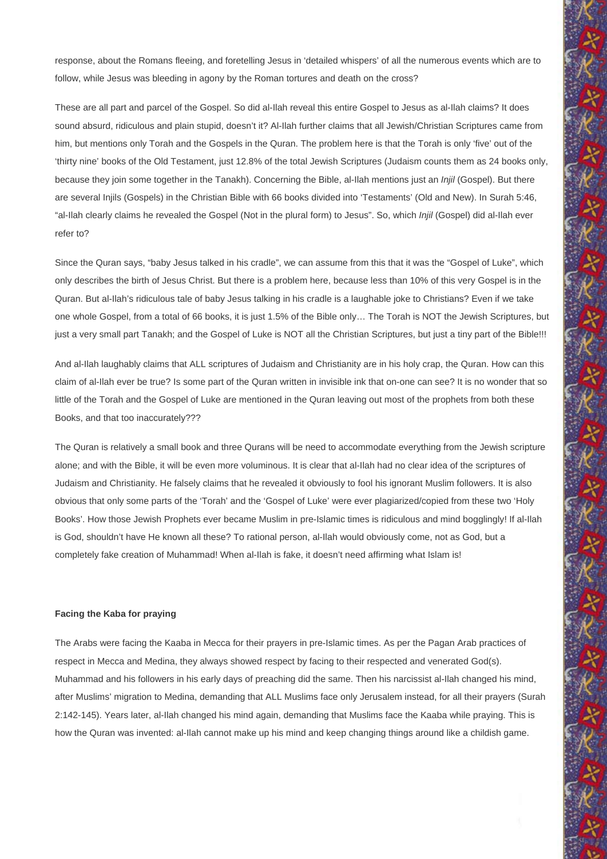response, about the Romans fleeing, and foretelling Jesus in 'detailed whispers' of all the numerous events which are to follow, while Jesus was bleeding in agony by the Roman tortures and death on the cross?

These are all part and parcel of the Gospel. So did al-Ilah reveal this entire Gospel to Jesus as al-Ilah claims? It does sound absurd, ridiculous and plain stupid, doesn't it? Al-Ilah further claims that all Jewish/Christian Scriptures came from him, but mentions only Torah and the Gospels in the Quran. The problem here is that the Torah is only 'five' out of the 'thirty nine' books of the Old Testament, just 12.8% of the total Jewish Scriptures (Judaism counts them as 24 books only, because they join some together in the Tanakh). Concerning the Bible, al-Ilah mentions just an *Injil* (Gospel). But there are several Injils (Gospels) in the Christian Bible with 66 books divided into 'Testaments' (Old and New). In Surah 5:46, "al-Ilah clearly claims he revealed the Gospel (Not in the plural form) to Jesus". So, which *Injil* (Gospel) did al-Ilah ever refer to?

Since the Quran says, "baby Jesus talked in his cradle", we can assume from this that it was the "Gospel of Luke", which only describes the birth of Jesus Christ. But there is a problem here, because less than 10% of this very Gospel is in the Quran. But al-Ilah's ridiculous tale of baby Jesus talking in his cradle is a laughable joke to Christians? Even if we take one whole Gospel, from a total of 66 books, it is just 1.5% of the Bible only… The Torah is NOT the Jewish Scriptures, but just a very small part Tanakh; and the Gospel of Luke is NOT all the Christian Scriptures, but just a tiny part of the Bible!!!

And al-Ilah laughably claims that ALL scriptures of Judaism and Christianity are in his holy crap, the Quran. How can this claim of al-Ilah ever be true? Is some part of the Quran written in invisible ink that on-one can see? It is no wonder that so little of the Torah and the Gospel of Luke are mentioned in the Quran leaving out most of the prophets from both these Books, and that too inaccurately???

The Quran is relatively a small book and three Qurans will be need to accommodate everything from the Jewish scripture alone; and with the Bible, it will be even more voluminous. It is clear that al-Ilah had no clear idea of the scriptures of Judaism and Christianity. He falsely claims that he revealed it obviously to fool his ignorant Muslim followers. It is also obvious that only some parts of the 'Torah' and the 'Gospel of Luke' were ever plagiarized/copied from these two 'Holy Books'. How those Jewish Prophets ever became Muslim in pre-Islamic times is ridiculous and mind bogglingly! If al-Ilah is God, shouldn't have He known all these? To rational person, al-Ilah would obviously come, not as God, but a completely fake creation of Muhammad! When al-Ilah is fake, it doesn't need affirming what Islam is!

#### **Facing the Kaba for praying**

The Arabs were facing the Kaaba in Mecca for their prayers in pre-Islamic times. As per the Pagan Arab practices of respect in Mecca and Medina, they always showed respect by facing to their respected and venerated God(s). Muhammad and his followers in his early days of preaching did the same. Then his narcissist al-Ilah changed his mind, after Muslims' migration to Medina, demanding that ALL Muslims face only Jerusalem instead, for all their prayers (Surah 2:142-145). Years later, al-Ilah changed his mind again, demanding that Muslims face the Kaaba while praying. This is how the Quran was invented: al-Ilah cannot make up his mind and keep changing things around like a childish game.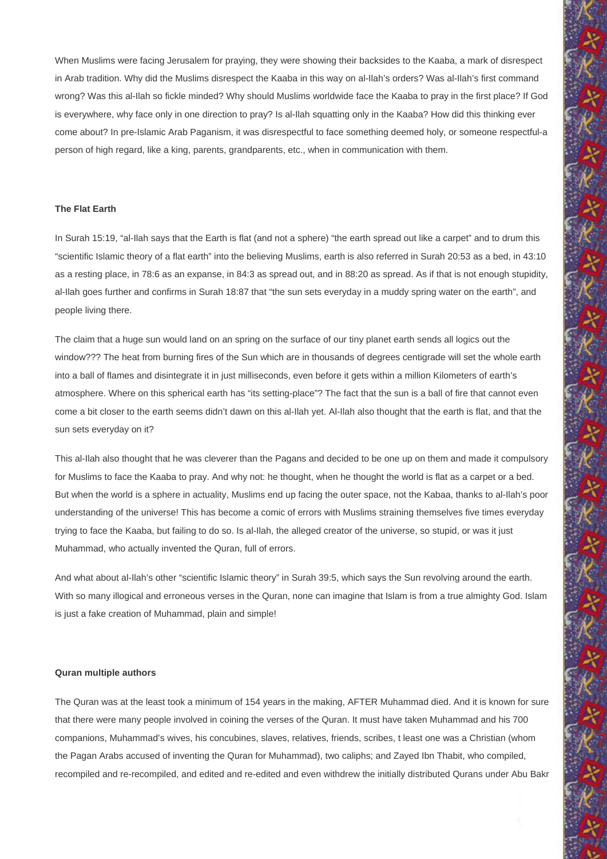When Muslims were facing Jerusalem for praying, they were showing their backsides to the Kaaba, a mark of disrespect in Arab tradition. Why did the Muslims disrespect the Kaaba in this way on al-Ilah's orders? Was al-Ilah's first command wrong? Was this al-Ilah so fickle minded? Why should Muslims worldwide face the Kaaba to pray in the first place? If God is everywhere, why face only in one direction to pray? Is al-Ilah squatting only in the Kaaba? How did this thinking ever come about? In pre-Islamic Arab Paganism, it was disrespectful to face something deemed holy, or someone respectful-a person of high regard, like a king, parents, grandparents, etc., when in communication with them.

## **The Flat Earth**

In Surah 15:19, "al-Ilah says that the Earth is flat (and not a sphere) "the earth spread out like a carpet" and to drum this "scientific Islamic theory of a flat earth" into the believing Muslims, earth is also referred in Surah 20:53 as a bed, in 43:10 as a resting place, in 78:6 as an expanse, in 84:3 as spread out, and in 88:20 as spread. As if that is not enough stupidity, al-Ilah goes further and confirms in Surah 18:87 that "the sun sets everyday in a muddy spring water on the earth", and people living there.

The claim that a huge sun would land on an spring on the surface of our tiny planet earth sends all logics out the window??? The heat from burning fires of the Sun which are in thousands of degrees centigrade will set the whole earth into a ball of flames and disintegrate it in just milliseconds, even before it gets within a million Kilometers of earth's atmosphere. Where on this spherical earth has "its setting-place"? The fact that the sun is a ball of fire that cannot even come a bit closer to the earth seems didn't dawn on this al-Ilah yet. Al-Ilah also thought that the earth is flat, and that the sun sets everyday on it?

This al-Ilah also thought that he was cleverer than the Pagans and decided to be one up on them and made it compulsory for Muslims to face the Kaaba to pray. And why not: he thought, when he thought the world is flat as a carpet or a bed. But when the world is a sphere in actuality, Muslims end up facing the outer space, not the Kabaa, thanks to al-Ilah's poor understanding of the universe! This has become a comic of errors with Muslims straining themselves five times everyday trying to face the Kaaba, but failing to do so. Is al-Ilah, the alleged creator of the universe, so stupid, or was it just Muhammad, who actually invented the Quran, full of errors.

And what about al-Ilah's other "scientific Islamic theory" in Surah 39:5, which says the Sun revolving around the earth. With so many illogical and erroneous verses in the Quran, none can imagine that Islam is from a true almighty God. Islam is just a fake creation of Muhammad, plain and simple!

#### **Quran multiple authors**

The Quran was at the least took a minimum of 154 years in the making, AFTER Muhammad died. And it is known for sure that there were many people involved in coining the verses of the Quran. It must have taken Muhammad and his 700 companions, Muhammad's wives, his concubines, slaves, relatives, friends, scribes, t least one was a Christian (whom the Pagan Arabs accused of inventing the Quran for Muhammad), two caliphs; and Zayed Ibn Thabit, who compiled, recompiled and re-recompiled, and edited and re-edited and even withdrew the initially distributed Qurans under Abu Bakr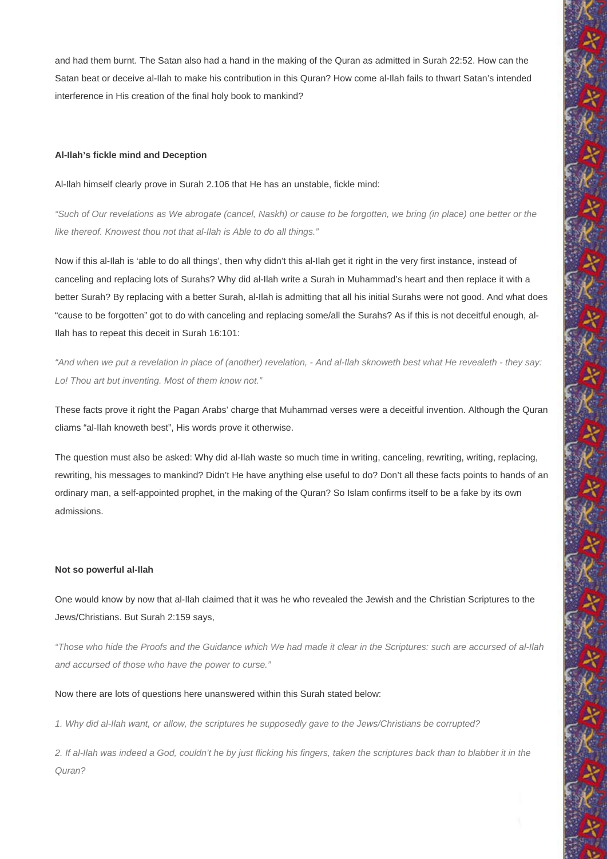and had them burnt. The Satan also had a hand in the making of the Quran as admitted in Surah 22:52. How can the Satan beat or deceive al-Ilah to make his contribution in this Quran? How come al-Ilah fails to thwart Satan's intended interference in His creation of the final holy book to mankind?

#### **Al-Ilah's fickle mind and Deception**

Al-Ilah himself clearly prove in Surah 2.106 that He has an unstable, fickle mind:

*"Such of Our revelations as We abrogate (cancel, Naskh) or cause to be forgotten, we bring (in place) one better or the like thereof. Knowest thou not that al-Ilah is Able to do all things."* 

Now if this al-Ilah is 'able to do all things', then why didn't this al-Ilah get it right in the very first instance, instead of canceling and replacing lots of Surahs? Why did al-Ilah write a Surah in Muhammad's heart and then replace it with a better Surah? By replacing with a better Surah, al-Ilah is admitting that all his initial Surahs were not good. And what does "cause to be forgotten" got to do with canceling and replacing some/all the Surahs? As if this is not deceitful enough, al-Ilah has to repeat this deceit in Surah 16:101:

*"And when we put a revelation in place of (another) revelation, - And al-Ilah sknoweth best what He revealeth - they say: Lo! Thou art but inventing. Most of them know not."* 

These facts prove it right the Pagan Arabs' charge that Muhammad verses were a deceitful invention. Although the Quran cliams "al-Ilah knoweth best", His words prove it otherwise.

The question must also be asked: Why did al-Ilah waste so much time in writing, canceling, rewriting, writing, replacing, rewriting, his messages to mankind? Didn't He have anything else useful to do? Don't all these facts points to hands of an ordinary man, a self-appointed prophet, in the making of the Quran? So Islam confirms itself to be a fake by its own admissions.

### **Not so powerful al-Ilah**

One would know by now that al-Ilah claimed that it was he who revealed the Jewish and the Christian Scriptures to the Jews/Christians. But Surah 2:159 says,

*"Those who hide the Proofs and the Guidance which We had made it clear in the Scriptures: such are accursed of al-Ilah and accursed of those who have the power to curse."* 

Now there are lots of questions here unanswered within this Surah stated below:

*1. Why did al-Ilah want, or allow, the scriptures he supposedly gave to the Jews/Christians be corrupted?* 

*2. If al-Ilah was indeed a God, couldn't he by just flicking his fingers, taken the scriptures back than to blabber it in the Quran?*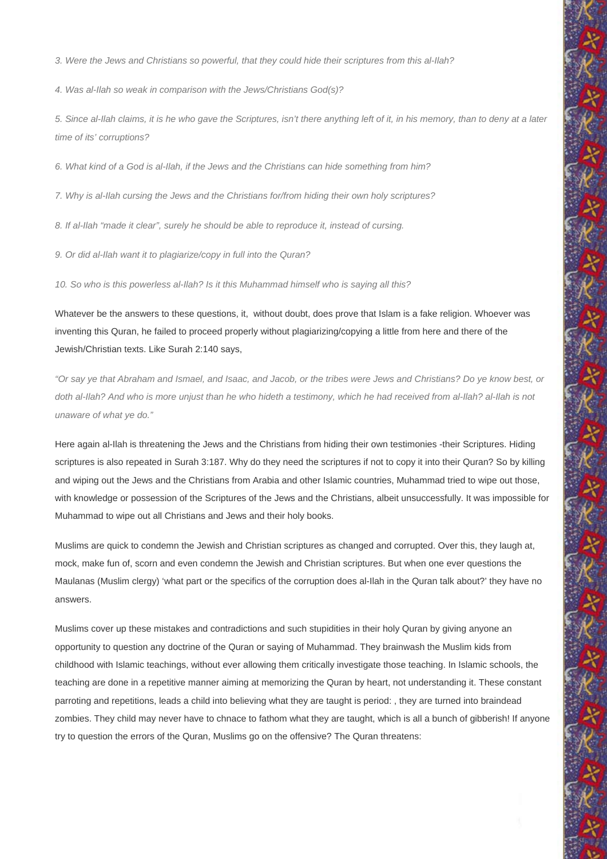*3. Were the Jews and Christians so powerful, that they could hide their scriptures from this al-Ilah?* 

*4. Was al-Ilah so weak in comparison with the Jews/Christians God(s)?* 

*5. Since al-Ilah claims, it is he who gave the Scriptures, isn't there anything left of it, in his memory, than to deny at a later time of its' corruptions?* 

*6. What kind of a God is al-Ilah, if the Jews and the Christians can hide something from him?* 

*7. Why is al-Ilah cursing the Jews and the Christians for/from hiding their own holy scriptures?* 

*8. If al-Ilah "made it clear", surely he should be able to reproduce it, instead of cursing.* 

*9. Or did al-Ilah want it to plagiarize/copy in full into the Quran?* 

*10. So who is this powerless al-Ilah? Is it this Muhammad himself who is saying all this?* 

Whatever be the answers to these questions, it, without doubt, does prove that Islam is a fake religion. Whoever was inventing this Quran, he failed to proceed properly without plagiarizing/copying a little from here and there of the Jewish/Christian texts. Like Surah 2:140 says,

*"Or say ye that Abraham and Ismael, and Isaac, and Jacob, or the tribes were Jews and Christians? Do ye know best, or doth al-Ilah? And who is more unjust than he who hideth a testimony, which he had received from al-Ilah? al-Ilah is not unaware of what ye do."* 

Here again al-Ilah is threatening the Jews and the Christians from hiding their own testimonies -their Scriptures. Hiding scriptures is also repeated in Surah 3:187. Why do they need the scriptures if not to copy it into their Quran? So by killing and wiping out the Jews and the Christians from Arabia and other Islamic countries, Muhammad tried to wipe out those, with knowledge or possession of the Scriptures of the Jews and the Christians, albeit unsuccessfully. It was impossible for Muhammad to wipe out all Christians and Jews and their holy books.

Muslims are quick to condemn the Jewish and Christian scriptures as changed and corrupted. Over this, they laugh at, mock, make fun of, scorn and even condemn the Jewish and Christian scriptures. But when one ever questions the Maulanas (Muslim clergy) 'what part or the specifics of the corruption does al-Ilah in the Quran talk about?' they have no answers.

Muslims cover up these mistakes and contradictions and such stupidities in their holy Quran by giving anyone an opportunity to question any doctrine of the Quran or saying of Muhammad. They brainwash the Muslim kids from childhood with Islamic teachings, without ever allowing them critically investigate those teaching. In Islamic schools, the teaching are done in a repetitive manner aiming at memorizing the Quran by heart, not understanding it. These constant parroting and repetitions, leads a child into believing what they are taught is period: , they are turned into braindead zombies. They child may never have to chnace to fathom what they are taught, which is all a bunch of gibberish! If anyone try to question the errors of the Quran, Muslims go on the offensive? The Quran threatens: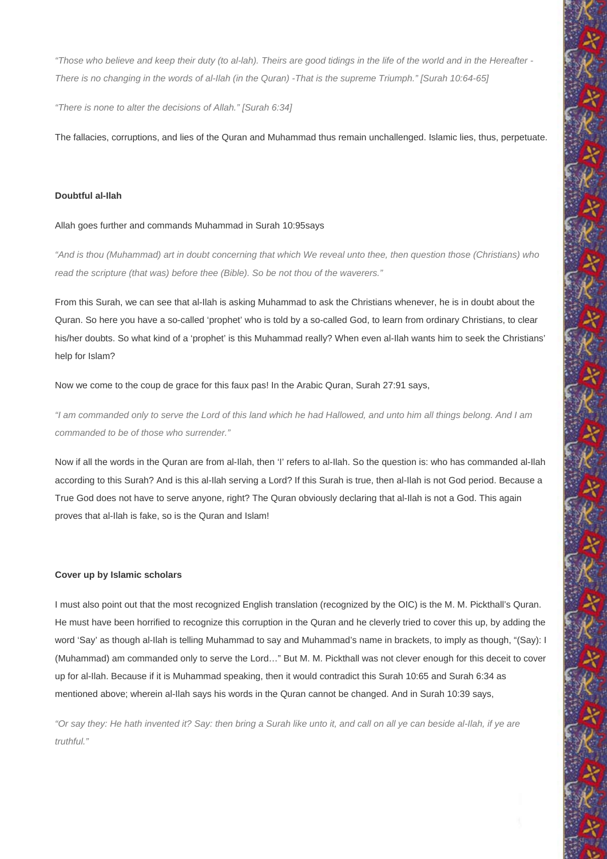*"Those who believe and keep their duty (to al-lah). Theirs are good tidings in the life of the world and in the Hereafter - There is no changing in the words of al-Ilah (in the Quran) -That is the supreme Triumph." [Surah 10:64-65]* 

*"There is none to alter the decisions of Allah." [Surah 6:34]* 

The fallacies, corruptions, and lies of the Quran and Muhammad thus remain unchallenged. Islamic lies, thus, perpetuate.

## **Doubtful al-Ilah**

#### Allah goes further and commands Muhammad in Surah 10:95says

*"And is thou (Muhammad) art in doubt concerning that which We reveal unto thee, then question those (Christians) who read the scripture (that was) before thee (Bible). So be not thou of the waverers."* 

From this Surah, we can see that al-Ilah is asking Muhammad to ask the Christians whenever, he is in doubt about the Quran. So here you have a so-called 'prophet' who is told by a so-called God, to learn from ordinary Christians, to clear his/her doubts. So what kind of a 'prophet' is this Muhammad really? When even al-Ilah wants him to seek the Christians' help for Islam?

Now we come to the coup de grace for this faux pas! In the Arabic Quran, Surah 27:91 says,

*"I am commanded only to serve the Lord of this land which he had Hallowed, and unto him all things belong. And I am commanded to be of those who surrender."* 

Now if all the words in the Quran are from al-Ilah, then 'I' refers to al-Ilah. So the question is: who has commanded al-Ilah according to this Surah? And is this al-Ilah serving a Lord? If this Surah is true, then al-Ilah is not God period. Because a True God does not have to serve anyone, right? The Quran obviously declaring that al-Ilah is not a God. This again proves that al-Ilah is fake, so is the Quran and Islam!

#### **Cover up by Islamic scholars**

I must also point out that the most recognized English translation (recognized by the OIC) is the M. M. Pickthall's Quran. He must have been horrified to recognize this corruption in the Quran and he cleverly tried to cover this up, by adding the word 'Say' as though al-Ilah is telling Muhammad to say and Muhammad's name in brackets, to imply as though, "(Say): I (Muhammad) am commanded only to serve the Lord…" But M. M. Pickthall was not clever enough for this deceit to cover up for al-Ilah. Because if it is Muhammad speaking, then it would contradict this Surah 10:65 and Surah 6:34 as mentioned above; wherein al-Ilah says his words in the Quran cannot be changed. And in Surah 10:39 says,

*"Or say they: He hath invented it? Say: then bring a Surah like unto it, and call on all ye can beside al-Ilah, if ye are truthful."*